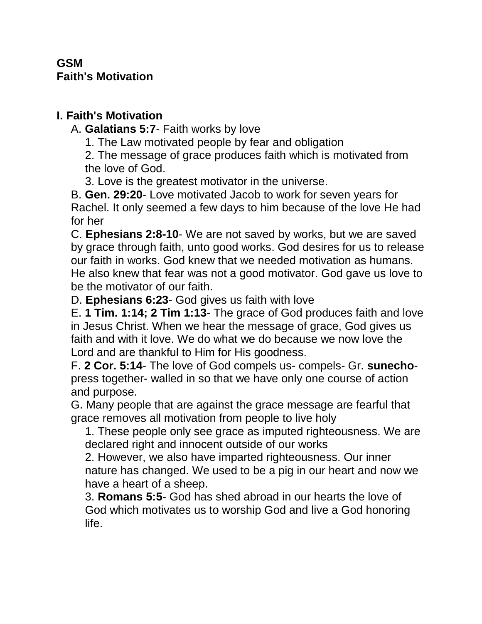## **GSM Faith's Motivation**

## **I. Faith's Motivation**

A. **Galatians 5:7**- Faith works by love

1. The Law motivated people by fear and obligation

2. The message of grace produces faith which is motivated from the love of God.

3. Love is the greatest motivator in the universe.

B. **Gen. 29:20**- Love motivated Jacob to work for seven years for Rachel. It only seemed a few days to him because of the love He had for her

C. **Ephesians 2:8-10**- We are not saved by works, but we are saved by grace through faith, unto good works. God desires for us to release our faith in works. God knew that we needed motivation as humans. He also knew that fear was not a good motivator. God gave us love to be the motivator of our faith.

D. **Ephesians 6:23**- God gives us faith with love

E. **1 Tim. 1:14; 2 Tim 1:13**- The grace of God produces faith and love in Jesus Christ. When we hear the message of grace, God gives us faith and with it love. We do what we do because we now love the Lord and are thankful to Him for His goodness.

F. **2 Cor. 5:14**- The love of God compels us- compels- Gr. **sunecho**press together- walled in so that we have only one course of action and purpose.

G. Many people that are against the grace message are fearful that grace removes all motivation from people to live holy

1. These people only see grace as imputed righteousness. We are declared right and innocent outside of our works

2. However, we also have imparted righteousness. Our inner nature has changed. We used to be a pig in our heart and now we have a heart of a sheep.

3. **Romans 5:5**- God has shed abroad in our hearts the love of God which motivates us to worship God and live a God honoring life.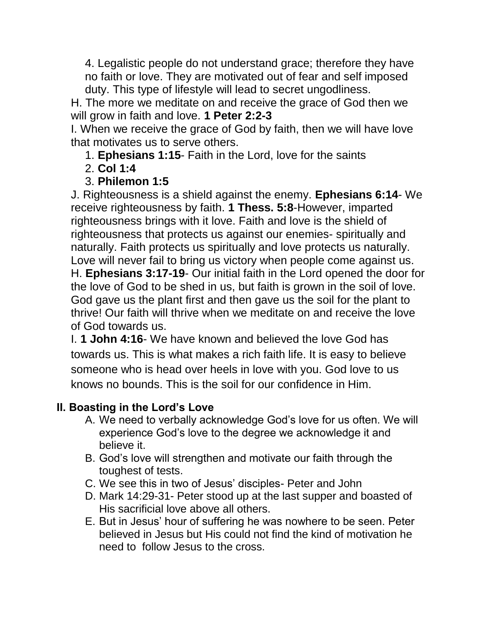4. Legalistic people do not understand grace; therefore they have no faith or love. They are motivated out of fear and self imposed duty. This type of lifestyle will lead to secret ungodliness.

H. The more we meditate on and receive the grace of God then we will grow in faith and love. **1 Peter 2:2-3**

I. When we receive the grace of God by faith, then we will have love that motivates us to serve others.

1. **Ephesians 1:15**- Faith in the Lord, love for the saints

2. **Col 1:4**

## 3. **Philemon 1:5**

J. Righteousness is a shield against the enemy. **Ephesians 6:14**- We receive righteousness by faith. **1 Thess. 5:8**-However, imparted righteousness brings with it love. Faith and love is the shield of righteousness that protects us against our enemies- spiritually and naturally. Faith protects us spiritually and love protects us naturally. Love will never fail to bring us victory when people come against us. H. **Ephesians 3:17-19**- Our initial faith in the Lord opened the door for the love of God to be shed in us, but faith is grown in the soil of love. God gave us the plant first and then gave us the soil for the plant to thrive! Our faith will thrive when we meditate on and receive the love of God towards us.

I. **1 John 4:16**- We have known and believed the love God has towards us. This is what makes a rich faith life. It is easy to believe someone who is head over heels in love with you. God love to us knows no bounds. This is the soil for our confidence in Him.

## **II. Boasting in the Lord's Love**

- A. We need to verbally acknowledge God's love for us often. We will experience God's love to the degree we acknowledge it and believe it.
- B. God's love will strengthen and motivate our faith through the toughest of tests.
- C. We see this in two of Jesus' disciples- Peter and John
- D. Mark 14:29-31- Peter stood up at the last supper and boasted of His sacrificial love above all others.
- E. But in Jesus' hour of suffering he was nowhere to be seen. Peter believed in Jesus but His could not find the kind of motivation he need to follow Jesus to the cross.